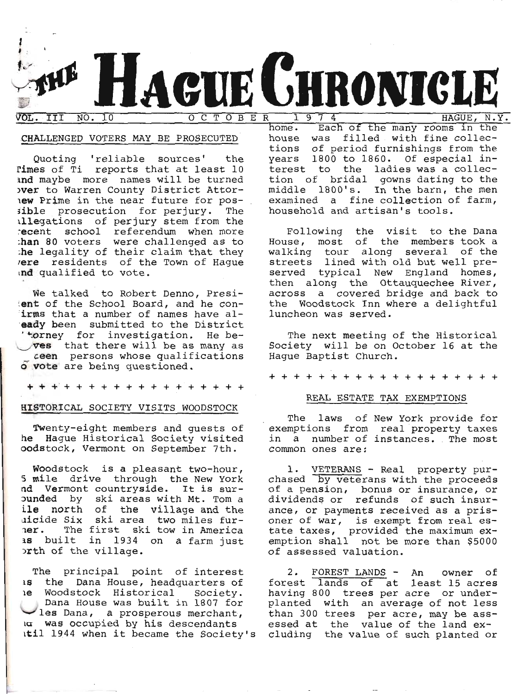

## CHALLENGED VOTERS MAY BE PROSECUTED

Quoting 'reliable sources' the Times of Ti reports that at least 10 and maybe more names will be turned over to Warren County District Attorlew Prime in the near future for possible prosecution for perjury. The illegations of perjury stem from the recent school referendum when more<br>than 80 voters were challenged as to the legality of their claim that they vere residents of the Town of Hague ind qualified to vote.

We talked to Robert Denno, Presilent of the School Board, and he conirms that a number of names have aleady been submitted to the District 'torney for investigation. He beves that there will be as many as ceen persons whose qualifications o vote are being questioned.

+ + + + + + + + + + + + + + + + +

## HISTORICAL SOCIETY VISITS WOODSTOCK

Twenty-eight members and guests of he Hague Historical Society visited oodstock, Vermont on September 7th.

Woodstock is a pleasant two-hour, 5 mile drive through the New York nd Vermont countryside. It is surounded by ski areas with Mt. Tom a ile north of the village and the<br>aicide Six ski area two miles furner. The first ski tow in America as built in 1934 on a farm just orth of the village.

The principal point of interest 15 the Dana House, headquarters of le Woodstock Historical Society. Dana House was built in 1807 for les Dana, a prosperous merchant, a was occupied by his descendants itil 1944 when it became the Society's

Each of the many rooms in the home. house was filled with fine collections of period furnishings from the years 1800 to 1860. Of especial interest to the ladies was a collection of bridal gowns dating to the middle 1800's. In the barn, the men examined a fine collection of farm, household and artisan's tools.

Following the visit to the Dana<br>House, most of the members took a walking tour along several of the streets lined with old but well preserved typical New England homes, then along the Ottauquechee River, across a covered bridge and back to the Woodstock Inn where a delightful luncheon was served.

The next meeting of the Historical Society will be on October 16 at the Haque Baptist Church.

+ + + + + + + + + +

## REAL ESTATE TAX EXEMPTIONS

The laws of New York provide for exemptions from real property taxes in a number of instances. The most common ones are:

1. VETERANS - Real property purchased by veterans with the proceeds of a pension, bonus or insurance, or<br>dividends or refunds of such insurance, or payments received as a prisoner of war, is exempt from real estate taxes, provided the maximum ex-<br>emption shall not be more than \$5000 of assessed valuation.

FOREST LANDS - An 2. owner of forest lands of at least 15 acres having 800 trees per acre or underplanted with an average of not less than 300 trees per acre, may be assessed at the value of the land excluding the value of such planted or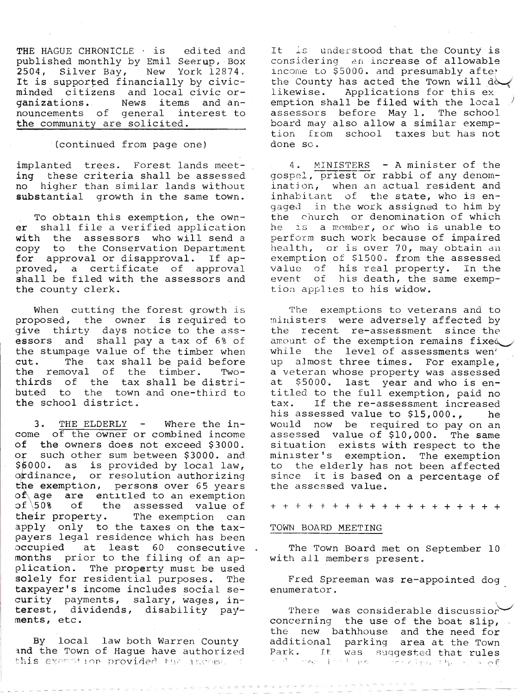THE HAGUE CHRONICLE  $\cdot$  is edited and published monthly by Emil Seerup, Box 2504, Silver Bay, New York 12874.<br>It is supported financially by civicminded citizens and local civic organizations. News items and announcements of general interest to the community are solicited.

### (continued from page one)

implanted trees. Forest lands meeting these criteria shall be assessed no higher than similar lands without substantial growth in the same town.

To obtain this exemption, the owner shall file a verified application<br>with the assessors who will send a<br>copy to the Conservation Department for approval or disapproval. If ap-<br>proved, a certificate of approval<br>shall be filed with the assessors and the county clerk.

When cutting the forest growth is<br>proposed, the owner is required to<br>qive thirty days notice to the assessors and shall pay a tax of 6% of the stumpage value of the timber when<br>cut. The tax shall be paid before cut. The tax shall be paid before the removal of the timber. Twobuted to the town and one-third to<br>the school district.

3. THE ELDERLY - Where the income of the owner or combined income of the owners does not exceed \$3000.<br>or such other sum between \$3000. and<br>\$6000. as is provided by local law, s6000. as is provided by local law,<br>ordinance, or resolution authorizing<br>the exemption, persons over 65 years<br>of age are entitled to an exemption<br>of 50% of the assessed value of<br>their property. The exemption can<br>apply only payers legal residence which has been<br>occupied at least 60 consecutive<br>months prior to the filing of an ap-<br>plication. The property must be used<br>solely for residential purposes. The solely for residential purposes. The<br>taxpayer's income includes social se-<br>curity payments, salary, wages, in-<br>terest, dividends, disability pay-<br>ments, etc.

By local law both Warren County<br>and the Town of Hague have authorized<br>this exemption provided the income

It is understood that the County is considering an increase of allowable income to \$5000. and presumably afte; the County has acted the Town will do emption shall be filed with the 1ocal / assessors before May 1. The school<br>board may also allow a similar exemption from school taxes but has not done so.

4. MINISTERS - A minister of the gospel, priest or rabbi of any denom-<br>ination, when an actual resident and<br>inhabitant of the state, who is engaged in the work assigned to him by the church or denomination of which he is a member, or who is unable to perform such work because of impaired<br>health, or is over 70, may obtain an<br>exemption of \$1500. from the assessed value of his real property. In the event of his death, the same exemp-<br>tion applies to his widow.

The exemptions to veterans and to<br>ministers were adversely affected by<br>the recent re-assessment since the amount of the exemption remains fixed<br>while the level of assessments wen'<br>up almost three times. For example, a veteran whose property was assessed<br>at \$5000. last year and who is en-<br>titled to the full exemption, paid no<br>tax. If the re-assessment increased<br>his assessed value to \$15,000., he<br>would now be required to pay on an<br>asses to the elderly has not been affected<br>since it is based on a percentage of<br>the assessed value.

++++++++++++++++-t++

#### TOWN BOARD MEETING

The Town Board met on September 10 with all members present.

Fred Spreeman was re-appointed dog enumerator.

There was considerable discussior<br>concerning the use of the boat slip,<br>the new bathhouse and the need for<br>additional parking area at the Town<br>Park. It was suggested that rules i, I -r religion in the contract of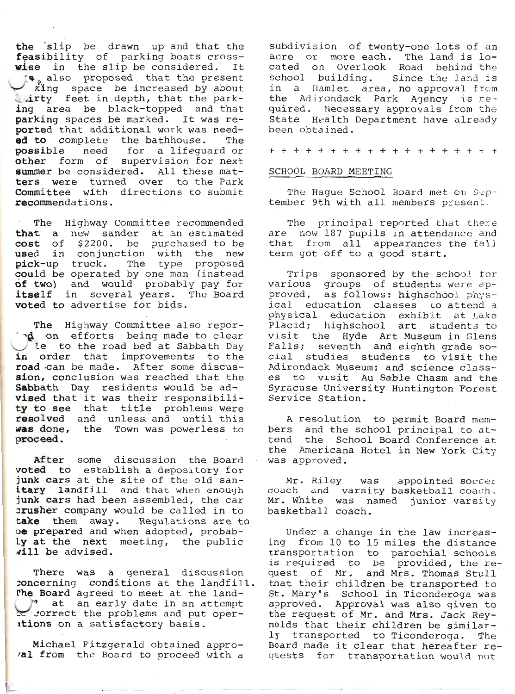the slip be drawn up and that the feasibility of parking boats crosswise in the slip be considered. It s also proposed that the present<br>king space be increased by about<br>airty feet in depth, that the parking area be black-topped and that parking spaces be marked. It was reported that additional work was needed to complete the bathhouse. The possible need for a lifequard or other form of supervision for next summer be considered. All these matters were turned over to the Park Committee with directions to submit recommendations.

The Highway Committee recommended that a new sander at an estimated cost of \$2200. be purchased to be used in conjunction with the new pick-up truck. The type proposed<br>could be operated by one man (instead of two) and would probably pay for itself in several years. The Board voted to advertise for bids.

The Highway Committee also repornd on efforts being made to clear le to the road bed at Sabbath Day in order that improvements to the road can be made. After some discussion, conclusion was reached that the Sabbath Day residents would be advised that it was their responsibility to see that title problems were resolved and unless and until this was done, the Town was powerless to proceed.

After some discussion the Board voted to establish a depository for junk cars at the site of the old sanitary landfill and that when enough junk cars had been assembled, the car crusher company would be called in to take them away. Regulations are to oe prepared and when adopted, probably at the next meeting, the public will be advised.

There was a general discussion concerning conditions at the landfill. The Board agreed to meet at the landat an early date in an attempt correct the problems and put operations on a satisfactory basis.

Michael Fitzgerald obtained approval from the Board to proceed with a

subdivision of twenty-one lots of an acre or more each. The land is located on Overlook Road behind the school building. Since the land is in a Hamlet area, no approval from the Adirondack Park Agency is required. Necessary approvals from the State Health Department have already been obtained.

+ + + + + + + + + + + + + + + + + +

#### SCHOOL BOARD MEETING

The Hague School Board met on September 9th with all members present.

The principal reported that there are now 187 pupils in attendance and that from all appearances the fall term got off to a good start.

Trips sponsored by the school for various groups of students were approved, as follows: highschool physical education classes to attend a physical education exhibit at Lake<br>Placid; highschool art students to visit the Hyde Art Museum in Glens Falls; seventh and eighth grade social studies students to visit the Adirondack Museum; and science classes to visit Au Sable Chasm and the Syracuse University Huntington Forest Service Station.

A resolution to permit Board members and the school principal to attend the School Board Conference at the Americana Hotel in New York City was approved.

Mr. Riley was appointed soccer coach and varsity basketball coach. Mr. White was named junior varsity basketball coach.

Under a change in the law increasing from 10 to 15 miles the distance transportation to parochial schools is required to be provided, the request of Mr. and Mrs. Thomas Stull that their children be transported to St. Mary's School in Ticonderoga was approved. Approval was also given to the request of Mr. and Mrs. Jack Reynolds that their children be similarly transported to Ticonderoga. The Board made it clear that hereafter requests for transportation would not